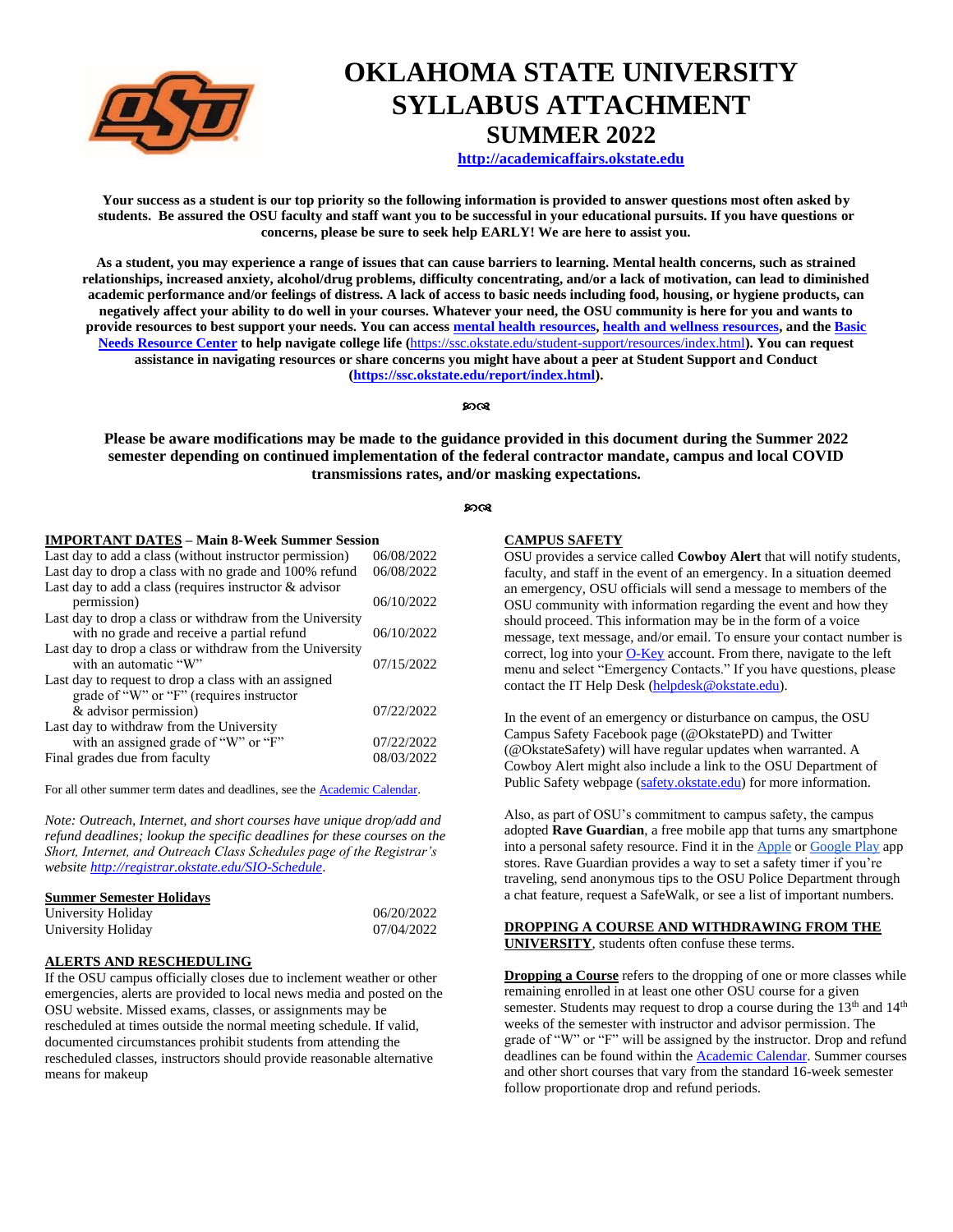

# **OKLAHOMA STATE UNIVERSITY SYLLABUS ATTACHMENT SUMMER 2022**

**[http://academicaffairs.okstate.edu](http://academicaffairs.okstate.edu/)**

**Your success as a student is our top priority so the following information is provided to answer questions most often asked by students. Be assured the OSU faculty and staff want you to be successful in your educational pursuits. If you have questions or concerns, please be sure to seek help EARLY! We are here to assist you.** 

**As a student, you may experience a range of issues that can cause barriers to learning. Mental health concerns, such as strained relationships, increased anxiety, alcohol/drug problems, difficulty concentrating, and/or a lack of motivation, can lead to diminished academic performance and/or feelings of distress. A lack of access to basic needs including food, housing, or hygiene products, can negatively affect your ability to do well in your courses. Whatever your need, the OSU community is here for you and wants to provide resources to best support your needs. You can access [mental health resources,](https://wellness.okstate.edu/student-wellness/resources.html) [health and wellness resources,](https://ssc.okstate.edu/student-support/resources/index.html) and th[e Basic](https://lcl.okstate.edu/basicneeds/)  [Needs Resource Center](https://lcl.okstate.edu/basicneeds/) to help navigate college life (**<https://ssc.okstate.edu/student-support/resources/index.html>**). You can request assistance in navigating resources or share concerns you might have about a peer at Student Support and Conduct [\(https://ssc.okstate.edu/report/index.html\)](https://ssc.okstate.edu/report/index.html).**

#### ୨୦୦୧

**Please be aware modifications may be made to the guidance provided in this document during the Summer 2022 semester depending on continued implementation of the federal contractor mandate, campus and local COVID transmissions rates, and/or masking expectations.**

#### $90<sup>0</sup>$

#### **IMPORTANT DATES – Main 8-Week Summer Session**

| Last day to drop a class with no grade and 100% refund<br>Last day to add a class (requires instructor $&$ advisor<br>permission)<br>Last day to drop a class or withdraw from the University<br>with no grade and receive a partial refund<br>Last day to drop a class or withdraw from the University<br>with an automatic "W"<br>Last day to request to drop a class with an assigned<br>grade of "W" or "F" (requires instructor | 06/08/2022<br>06/10/2022<br>06/10/2022<br>07/15/2022<br>07/22/2022 | Last day to add a class (without instructor permission) | 06/08/2022 |
|--------------------------------------------------------------------------------------------------------------------------------------------------------------------------------------------------------------------------------------------------------------------------------------------------------------------------------------------------------------------------------------------------------------------------------------|--------------------------------------------------------------------|---------------------------------------------------------|------------|
|                                                                                                                                                                                                                                                                                                                                                                                                                                      |                                                                    |                                                         |            |
|                                                                                                                                                                                                                                                                                                                                                                                                                                      |                                                                    |                                                         |            |
|                                                                                                                                                                                                                                                                                                                                                                                                                                      |                                                                    |                                                         |            |
|                                                                                                                                                                                                                                                                                                                                                                                                                                      |                                                                    |                                                         |            |
|                                                                                                                                                                                                                                                                                                                                                                                                                                      |                                                                    |                                                         |            |
|                                                                                                                                                                                                                                                                                                                                                                                                                                      |                                                                    |                                                         |            |
|                                                                                                                                                                                                                                                                                                                                                                                                                                      |                                                                    |                                                         |            |
|                                                                                                                                                                                                                                                                                                                                                                                                                                      |                                                                    |                                                         |            |
|                                                                                                                                                                                                                                                                                                                                                                                                                                      |                                                                    |                                                         |            |
|                                                                                                                                                                                                                                                                                                                                                                                                                                      |                                                                    | & advisor permission)                                   |            |
| Last day to withdraw from the University                                                                                                                                                                                                                                                                                                                                                                                             |                                                                    |                                                         |            |
| with an assigned grade of "W" or "F"                                                                                                                                                                                                                                                                                                                                                                                                 |                                                                    |                                                         | 07/22/2022 |
|                                                                                                                                                                                                                                                                                                                                                                                                                                      | 08/03/2022                                                         | Final grades due from faculty                           |            |

For all other summer term dates and deadlines, see the [Academic Calendar.](https://registrar.okstate.edu/academic_calendar/)

*Note: Outreach, Internet, and short courses have unique drop/add and refund deadlines; lookup the specific deadlines for these courses on the Short, Internet, and Outreach Class Schedules page of the Registrar's website<http://registrar.okstate.edu/SIO-Schedule>*.

#### **Summer Semester Holidays**

| University Holiday | 06/20/2022 |
|--------------------|------------|
| University Holiday | 07/04/2022 |

# **ALERTS AND RESCHEDULING**

If the OSU campus officially closes due to inclement weather or other emergencies, alerts are provided to local news media and posted on the OSU website. Missed exams, classes, or assignments may be rescheduled at times outside the normal meeting schedule. If valid, documented circumstances prohibit students from attending the rescheduled classes, instructors should provide reasonable alternative means for makeup

#### **CAMPUS SAFETY**

OSU provides a service called **Cowboy Alert** that will notify students, faculty, and staff in the event of an emergency. In a situation deemed an emergency, OSU officials will send a message to members of the OSU community with information regarding the event and how they should proceed. This information may be in the form of a voice message, text message, and/or email. To ensure your contact number is correct, log into you[r O-Key](http://okey.okstate.edu/) account. From there, navigate to the left menu and select "Emergency Contacts." If you have questions, please contact the IT Help Desk [\(helpdesk@okstate.edu\)](mailto:helpdesk@okstate.edu).

In the event of an emergency or disturbance on campus, the OSU Campus Safety Facebook page (@OkstatePD) and Twitter (@OkstateSafety) will have regular updates when warranted. A Cowboy Alert might also include a link to the OSU Department of Public Safety webpage [\(safety.okstate.edu\)](https://safety.okstate.edu/) for more information.

Also, as part of OSU's commitment to campus safety, the campus adopted **Rave Guardian**, a free mobile app that turns any smartphone into a personal safety resource. Find it in th[e Apple](https://nam04.safelinks.protection.outlook.com/?url=https%3A%2F%2Fapps.apple.com%2Fus%2Fapp%2Frave-guardian%2Fid691246562&data=05%7C01%7Ccandace.thrasher%40okstate.edu%7Ccac3f2d0ab52491b1c9c08da2dd6fcc8%7C2a69c91de8494e34a230cdf8b27e1964%7C0%7C0%7C637872698938223488%7CUnknown%7CTWFpbGZsb3d8eyJWIjoiMC4wLjAwMDAiLCJQIjoiV2luMzIiLCJBTiI6Ik1haWwiLCJXVCI6Mn0%3D%7C3000%7C%7C%7C&sdata=Dj14OCmxgD7EmKDLiQn7eqF%2BbJTZkJriisJhnpkg7Hc%3D&reserved=0) o[r Google Play](https://nam04.safelinks.protection.outlook.com/?url=https%3A%2F%2Fplay.google.com%2Fstore%2Fapps%2Fdetails%3Fid%3Dcom.ravemobilesafety.raveguardian%26hl%3Den_US&data=05%7C01%7Ccandace.thrasher%40okstate.edu%7Ccac3f2d0ab52491b1c9c08da2dd6fcc8%7C2a69c91de8494e34a230cdf8b27e1964%7C0%7C0%7C637872698938223488%7CUnknown%7CTWFpbGZsb3d8eyJWIjoiMC4wLjAwMDAiLCJQIjoiV2luMzIiLCJBTiI6Ik1haWwiLCJXVCI6Mn0%3D%7C3000%7C%7C%7C&sdata=tA6Uw4UCYtlKAcxmIzUA6cNBzqkC3t1AEFjQ9brunGI%3D&reserved=0) app stores. Rave Guardian provides a way to set a safety timer if you're traveling, send anonymous tips to the OSU Police Department through a chat feature, request a SafeWalk, or see a list of important numbers.

#### **DROPPING A COURSE AND WITHDRAWING FROM THE UNIVERSITY**, students often confuse these terms.

**Dropping a Course** refers to the dropping of one or more classes while remaining enrolled in at least one other OSU course for a given semester. Students may request to drop a course during the 13<sup>th</sup> and 14<sup>th</sup> weeks of the semester with instructor and advisor permission. The grade of "W" or "F" will be assigned by the instructor. Drop and refund deadlines can be found within th[e Academic Calendar.](https://registrar.okstate.edu/academic_calendar/) Summer courses and other short courses that vary from the standard 16-week semester follow proportionate drop and refund periods.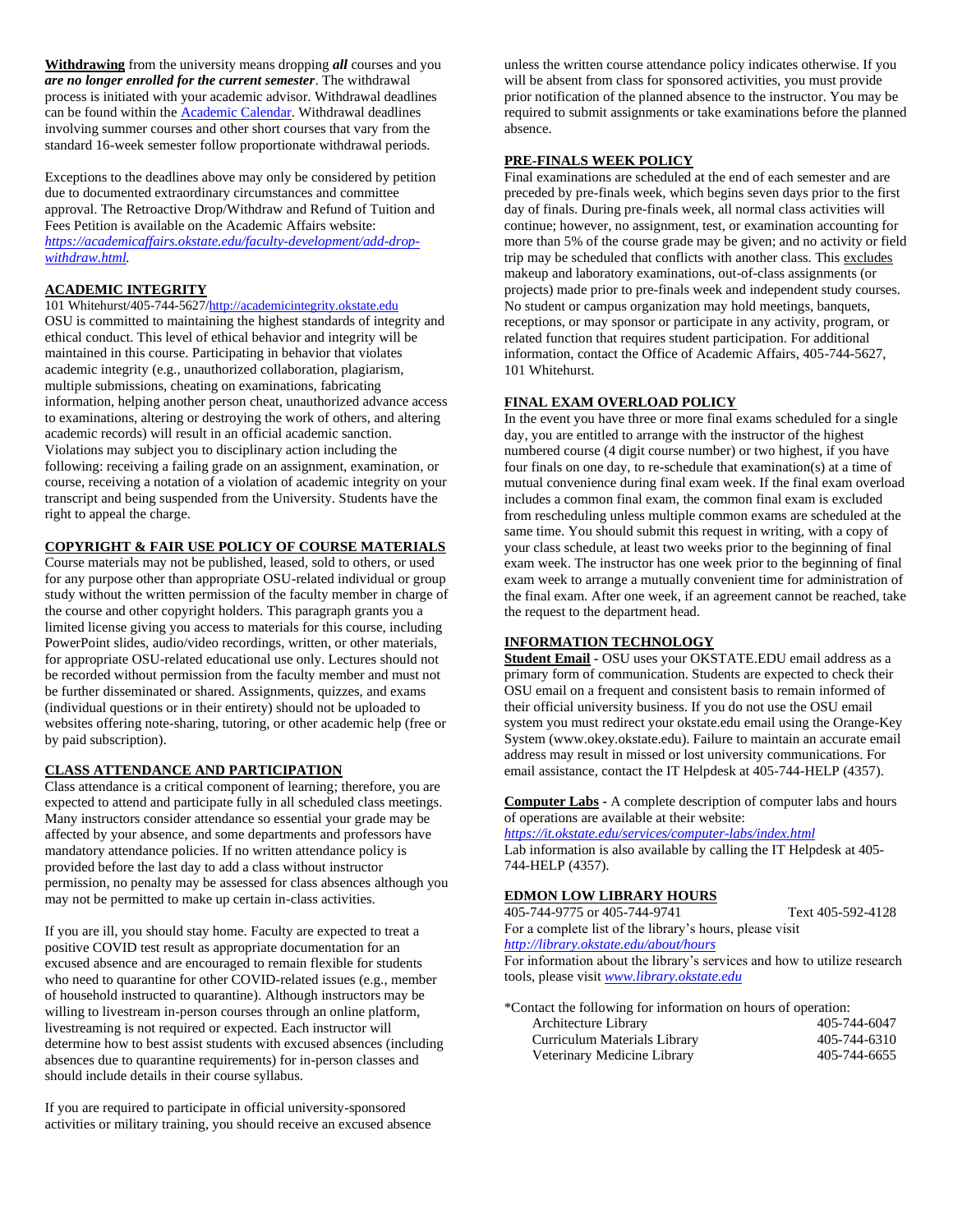**Withdrawing** from the university means dropping *all* courses and you *are no longer enrolled for the current semester*. The withdrawal process is initiated with your academic advisor. Withdrawal deadlines can be found within the **Academic Calendar**. Withdrawal deadlines involving summer courses and other short courses that vary from the standard 16-week semester follow proportionate withdrawal periods.

Exceptions to the deadlines above may only be considered by petition due to documented extraordinary circumstances and committee approval. The Retroactive Drop/Withdraw and Refund of Tuition and Fees Petition is available on the Academic Affairs website: *[https://academicaffairs.okstate.edu/faculty-development/add-drop](https://academicaffairs.okstate.edu/faculty-development/add-drop-withdraw.html)[withdraw.html.](https://academicaffairs.okstate.edu/faculty-development/add-drop-withdraw.html)*

# **[ACADEMIC INTEGRITY](http://academicintegrity.okstate.edu/)**

101 Whitehurst/405-744-562[7/http://academicintegrity.okstate.edu](http://academicintegrity.okstate.edu/) OSU is committed to maintaining the highest standards of integrity and ethical conduct. This level of ethical behavior and integrity will be maintained in this course. Participating in behavior that violates academic integrity (e.g., unauthorized collaboration, plagiarism, multiple submissions, cheating on examinations, fabricating information, helping another person cheat, unauthorized advance access to examinations, altering or destroying the work of others, and altering academic records) will result in an official academic sanction. Violations may subject you to disciplinary action including the following: receiving a failing grade on an assignment, examination, or course, receiving a notation of a violation of academic integrity on your transcript and being suspended from the University. Students have the right to appeal the charge.

### **COPYRIGHT & FAIR USE POLICY OF COURSE MATERIALS**

Course materials may not be published, leased, sold to others, or used for any purpose other than appropriate OSU-related individual or group study without the written permission of the faculty member in charge of the course and other copyright holders. This paragraph grants you a limited license giving you access to materials for this course, including PowerPoint slides, audio/video recordings, written, or other materials, for appropriate OSU-related educational use only. Lectures should not be recorded without permission from the faculty member and must not be further disseminated or shared. Assignments, quizzes, and exams (individual questions or in their entirety) should not be uploaded to websites offering note-sharing, tutoring, or other academic help (free or by paid subscription).

# **CLASS ATTENDANCE AND PARTICIPATION**

Class attendance is a critical component of learning; therefore, you are expected to attend and participate fully in all scheduled class meetings. Many instructors consider attendance so essential your grade may be affected by your absence, and some departments and professors have mandatory attendance policies. If no written attendance policy is provided before the last day to add a class without instructor permission, no penalty may be assessed for class absences although you may not be permitted to make up certain in-class activities.

If you are ill, you should stay home. Faculty are expected to treat a positive COVID test result as appropriate documentation for an excused absence and are encouraged to remain flexible for students who need to quarantine for other COVID-related issues (e.g., member of household instructed to quarantine). Although instructors may be willing to livestream in-person courses through an online platform, livestreaming is not required or expected. Each instructor will determine how to best assist students with excused absences (including absences due to quarantine requirements) for in-person classes and should include details in their course syllabus.

If you are required to participate in official university-sponsored activities or military training, you should receive an excused absence

unless the written course attendance policy indicates otherwise. If you will be absent from class for sponsored activities, you must provide prior notification of the planned absence to the instructor. You may be required to submit assignments or take examinations before the planned absence.

#### **PRE-FINALS WEEK POLICY**

Final examinations are scheduled at the end of each semester and are preceded by pre-finals week, which begins seven days prior to the first day of finals. During pre-finals week, all normal class activities will continue; however, no assignment, test, or examination accounting for more than 5% of the course grade may be given; and no activity or field trip may be scheduled that conflicts with another class. This excludes makeup and laboratory examinations, out-of-class assignments (or projects) made prior to pre-finals week and independent study courses. No student or campus organization may hold meetings, banquets, receptions, or may sponsor or participate in any activity, program, or related function that requires student participation. For additional information, contact the Office of Academic Affairs, 405-744-5627, 101 Whitehurst.

#### **FINAL EXAM OVERLOAD POLICY**

In the event you have three or more final exams scheduled for a single day, you are entitled to arrange with the instructor of the highest numbered course (4 digit course number) or two highest, if you have four finals on one day, to re-schedule that examination(s) at a time of mutual convenience during final exam week. If the final exam overload includes a common final exam, the common final exam is excluded from rescheduling unless multiple common exams are scheduled at the same time. You should submit this request in writing, with a copy of your class schedule, at least two weeks prior to the beginning of final exam week. The instructor has one week prior to the beginning of final exam week to arrange a mutually convenient time for administration of the final exam. After one week, if an agreement cannot be reached, take the request to the department head.

# **INFORMATION TECHNOLOGY**

**Student Email -** OSU uses your OKSTATE.EDU email address as a primary form of communication. Students are expected to check their OSU email on a frequent and consistent basis to remain informed of their official university business. If you do not use the OSU email system you must redirect your okstate.edu email using the Orange-Key System (www.okey.okstate.edu). Failure to maintain an accurate email address may result in missed or lost university communications. For email assistance, contact the IT Helpdesk at 405-744-HELP (4357).

**Computer Labs -** A complete description of computer labs and hours of operations are available at their website:

*<https://it.okstate.edu/services/computer-labs/index.html>*

Lab information is also available by calling the IT Helpdesk at 405- 744-HELP (4357).

#### **EDMON LOW LIBRARY HOURS**

405-744-9775 or 405-744-9741 Text 405-592-4128 For a complete list of the library's hours, please visit

*<http://library.okstate.edu/about/hours>*

For information about the library's services and how to utilize research tools, please visit *[www.library.okstate.edu](http://www.library.okstate.edu/)*

\*Contact the following for information on hours of operation:

| Architecture Library         | 405-744-6047 |
|------------------------------|--------------|
| Curriculum Materials Library | 405-744-6310 |
| Veterinary Medicine Library  | 405-744-6655 |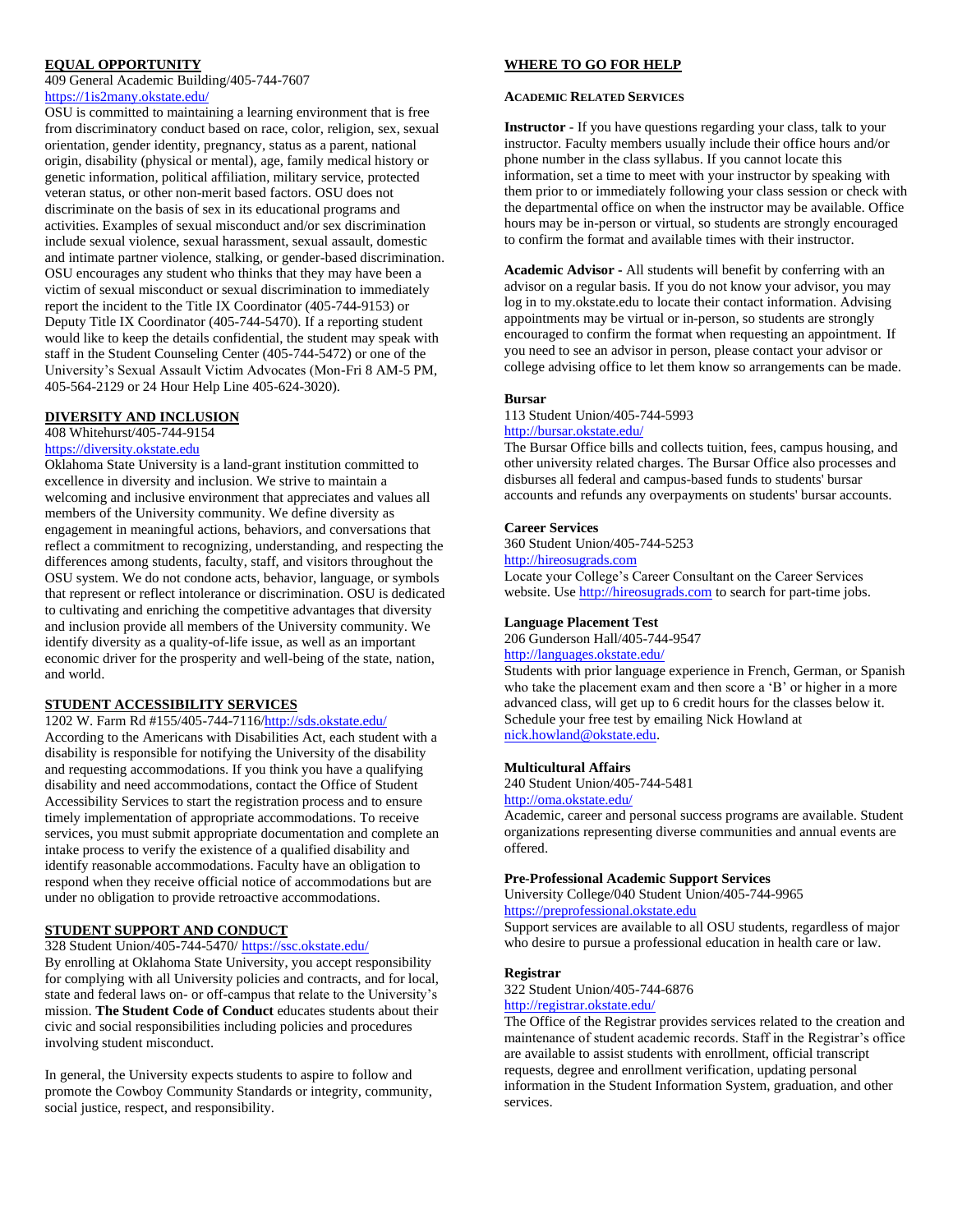#### **EQUAL OPPORTUNITY**

409 General Academic Building/405-744-7607 <https://1is2many.okstate.edu/>

OSU is committed to maintaining a learning environment that is free from discriminatory conduct based on race, color, religion, sex, sexual orientation, gender identity, pregnancy, status as a parent, national origin, disability (physical or mental), age, family medical history or genetic information, political affiliation, military service, protected veteran status, or other non-merit based factors. OSU does not discriminate on the basis of sex in its educational programs and activities. Examples of sexual misconduct and/or sex discrimination include sexual violence, sexual harassment, sexual assault, domestic and intimate partner violence, stalking, or gender-based discrimination. OSU encourages any student who thinks that they may have been a victim of sexual misconduct or sexual discrimination to immediately report the incident to the Title IX Coordinator (405-744-9153) or Deputy Title IX Coordinator (405-744-5470). If a reporting student would like to keep the details confidential, the student may speak with staff in the Student Counseling Center (405-744-5472) or one of the University's Sexual Assault Victim Advocates (Mon-Fri 8 AM-5 PM, 405-564-2129 or 24 Hour Help Line 405-624-3020).

#### **DIVERSITY AND INCLUSION**

# 408 Whitehurst/405-744-9154

# [https://diversity.okstate.edu](https://diversity.okstate.edu/)

Oklahoma State University is a land-grant institution committed to excellence in diversity and inclusion. We strive to maintain a welcoming and inclusive environment that appreciates and values all members of the University community. We define diversity as engagement in meaningful actions, behaviors, and conversations that reflect a commitment to recognizing, understanding, and respecting the differences among students, faculty, staff, and visitors throughout the OSU system. We do not condone acts, behavior, language, or symbols that represent or reflect intolerance or discrimination. OSU is dedicated to cultivating and enriching the competitive advantages that diversity and inclusion provide all members of the University community. We identify diversity as a quality-of-life issue, as well as an important economic driver for the prosperity and well-being of the state, nation, and world.

#### **STUDENT ACCESSIBILITY SERVICES**

### 1202 W. Farm Rd #155/405-744-7116[/http://sds.okstate.edu/](http://sds.okstate.edu/)

According to the Americans with Disabilities Act, each student with a disability is responsible for notifying the University of the disability and requesting accommodations. If you think you have a qualifying disability and need accommodations, contact the Office of Student Accessibility Services to start the registration process and to ensure timely implementation of appropriate accommodations. To receive services, you must submit appropriate documentation and complete an intake process to verify the existence of a qualified disability and identify reasonable accommodations. Faculty have an obligation to respond when they receive official notice of accommodations but are under no obligation to provide retroactive accommodations.

# **STUDENT SUPPORT AND CONDUCT**

#### 328 Student Union/405-744-5470/ <https://ssc.okstate.edu/>

By enrolling at Oklahoma State University, you accept responsibility for complying with all University policies and contracts, and for local, state and federal laws on- or off-campus that relate to the University's mission. **The Student Code of Conduct** educates students about their civic and social responsibilities including policies and procedures involving student misconduct.

In general, the University expects students to aspire to follow and promote the Cowboy Community Standards or integrity, community, social justice, respect, and responsibility.

#### **WHERE TO GO FOR HELP**

#### **ACADEMIC RELATED SERVICES**

**Instructor** - If you have questions regarding your class, talk to your instructor. Faculty members usually include their office hours and/or phone number in the class syllabus. If you cannot locate this information, set a time to meet with your instructor by speaking with them prior to or immediately following your class session or check with the departmental office on when the instructor may be available. Office hours may be in-person or virtual, so students are strongly encouraged to confirm the format and available times with their instructor.

**Academic Advisor -** All students will benefit by conferring with an advisor on a regular basis. If you do not know your advisor, you may log in to my.okstate.edu to locate their contact information. Advising appointments may be virtual or in-person, so students are strongly encouraged to confirm the format when requesting an appointment. If you need to see an advisor in person, please contact your advisor or college advising office to let them know so arrangements can be made.

#### **Bursar**

113 Student Union/405-744-5993

#### <http://bursar.okstate.edu/>

The Bursar Office bills and collects tuition, fees, campus housing, and other university related charges. The Bursar Office also processes and disburses all federal and campus-based funds to students' bursar accounts and refunds any overpayments on students' bursar accounts.

#### **Career Services**

360 Student Union/405-744-5253

[http://hireosugrads.com](http://hireosugrads.com/)

Locate your College's Career Consultant on the Career Services website. Us[e http://hireosugrads.com](http://hireosugrads.com/) to search for part-time jobs.

#### **Language Placement Test**

206 Gunderson Hall/405-744-9547

# <http://languages.okstate.edu/>

Students with prior language experience in French, German, or Spanish who take the placement exam and then score a 'B' or higher in a more advanced class, will get up to 6 credit hours for the classes below it. Schedule your free test by emailing Nick Howland at [nick.howland@okstate.edu.](mailto:nick.howland@okstate.edu)

#### **Multicultural Affairs**

240 Student Union/405-744-5481 <http://oma.okstate.edu/>

Academic, career and personal success programs are available. Student organizations representing diverse communities and annual events are offered.

#### **Pre-Professional Academic Support Services**

University College/040 Student Union/405-744-9965 [https://preprofessional.okstate.edu](https://preprofessional.okstate.edu/)

Support services are available to all OSU students, regardless of major who desire to pursue a professional education in health care or law.

#### **Registrar**

322 Student Union/405-744-6876

# <http://registrar.okstate.edu/>

The Office of the Registrar provides services related to the creation and maintenance of student academic records. Staff in the Registrar's office are available to assist students with enrollment, official transcript requests, degree and enrollment verification, updating personal information in the Student Information System, graduation, and other services.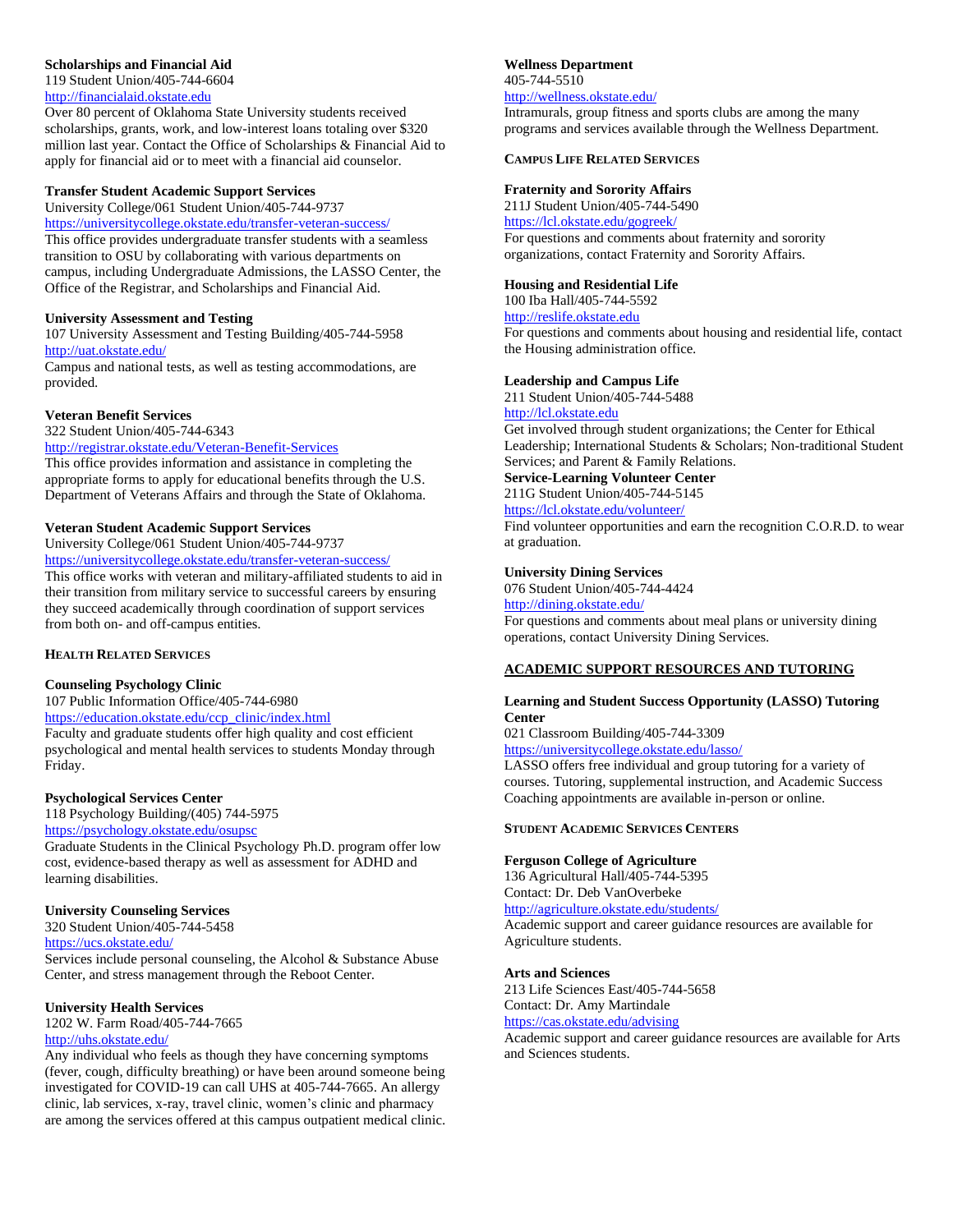### **Scholarships and Financial Aid**

119 Student Union/405-744-6604

# [http://financialaid.okstate.edu](http://financialaid.okstate.edu/)

Over 80 percent of Oklahoma State University students received scholarships, grants, work, and low-interest loans totaling over \$320 million last year. Contact the Office of Scholarships & Financial Aid to apply for financial aid or to meet with a financial aid counselor.

#### **Transfer Student Academic Support Services**

University College/061 Student Union/405-744-9737

https://universitycollege.okstate.edu/transfer-veteran-success/ This office provides undergraduate transfer students with a seamless transition to OSU by collaborating with various departments on campus, including Undergraduate Admissions, the LASSO Center, the Office of the Registrar, and Scholarships and Financial Aid.

#### **University Assessment and Testing**

107 University Assessment and Testing Building/405-744-5958 <http://uat.okstate.edu/>

Campus and national tests, as well as testing accommodations, are provided.

#### **Veteran Benefit Services**

322 Student Union/405-744-6343

<http://registrar.okstate.edu/Veteran-Benefit-Services> This office provides information and assistance in completing the appropriate forms to apply for educational benefits through the U.S. Department of Veterans Affairs and through the State of Oklahoma.

#### **Veteran Student Academic Support Services**

University College/061 Student Union/405-744-9737

<https://universitycollege.okstate.edu/transfer-veteran-success/> This office works with veteran and military-affiliated students to aid in their transition from military service to successful careers by ensuring they succeed academically through coordination of support services from both on- and off-campus entities.

### **HEALTH RELATED SERVICES**

#### **Counseling Psychology Clinic**

107 Public Information Office/405-744-6980 https://education.okstate.edu/ccp\_clinic/index.html

Faculty and graduate students offer high quality and cost efficient psychological and mental health services to students Monday through Friday.

#### **Psychological Services Center**

118 Psychology Building/(405) 744-5975 <https://psychology.okstate.edu/osupsc>

Graduate Students in the Clinical Psychology Ph.D. program offer low cost, evidence-based therapy as well as assessment for ADHD and learning disabilities.

#### **University Counseling Services**

320 Student Union/405-744-5458 https://ucs.okstate.edu/

Services include personal counseling, the Alcohol & Substance Abuse Center, and stress management through the Reboot Center.

#### **University Health Services**

1202 W. Farm Road/405-744-7665 <http://uhs.okstate.edu/>

Any individual who feels as though they have concerning symptoms (fever, cough, difficulty breathing) or have been around someone being investigated for COVID-19 can call UHS at 405-744-7665. An allergy clinic, lab services, x-ray, travel clinic, women's clinic and pharmacy are among the services offered at this campus outpatient medical clinic.

# **Wellness Department**

#### 405-744-5510 <http://wellness.okstate.edu/>

Intramurals, group fitness and sports clubs are among the many programs and services available through the Wellness Department.

#### **CAMPUS LIFE RELATED SERVICES**

#### **Fraternity and Sorority Affairs**

211J Student Union/405-744-5490 <https://lcl.okstate.edu/gogreek/> For questions and comments about fraternity and sorority organizations, contact Fraternity and Sorority Affairs.

#### **Housing and Residential Life**

100 Iba Hall/405-744-5592 [http://reslife.okstate.edu](http://reslife.okstate.edu/)

For questions and comments about housing and residential life, contact the Housing administration office.

#### **Leadership and Campus Life**

211 Student Union/405-744-5488

[http://lcl.okstate.edu](http://lcl.okstate.edu/)

Get involved through student organizations; the Center for Ethical Leadership; International Students & Scholars; Non-traditional Student Services; and Parent & Family Relations.

# **Service-Learning Volunteer Center**

211G Student Union/405-744-5145

# <https://lcl.okstate.edu/volunteer/>

Find volunteer opportunities and earn the recognition C.O.R.D. to wear at graduation.

#### **University Dining Services**

076 Student Union/405-744-4424 <http://dining.okstate.edu/> For questions and comments about meal plans or university dining operations, contact University Dining Services.

### **ACADEMIC SUPPORT RESOURCES AND TUTORING**

#### **Learning and Student Success Opportunity (LASSO) Tutoring Center**

021 Classroom Building/405-744-3309

<https://universitycollege.okstate.edu/lasso/>

LASSO offers free individual and group tutoring for a variety of courses. Tutoring, supplemental instruction, and Academic Success Coaching appointments are available in-person or online.

#### **STUDENT ACADEMIC SERVICES CENTERS**

#### **Ferguson College of Agriculture**

136 Agricultural Hall/405-744-5395 Contact: Dr. Deb VanOverbeke

<http://agriculture.okstate.edu/students/>

Academic support and career guidance resources are available for Agriculture students.

#### **Arts and Sciences**

213 Life Sciences East/405-744-5658 Contact: Dr. Amy Martindale

<https://cas.okstate.edu/advising>

Academic support and career guidance resources are available for Arts and Sciences students.